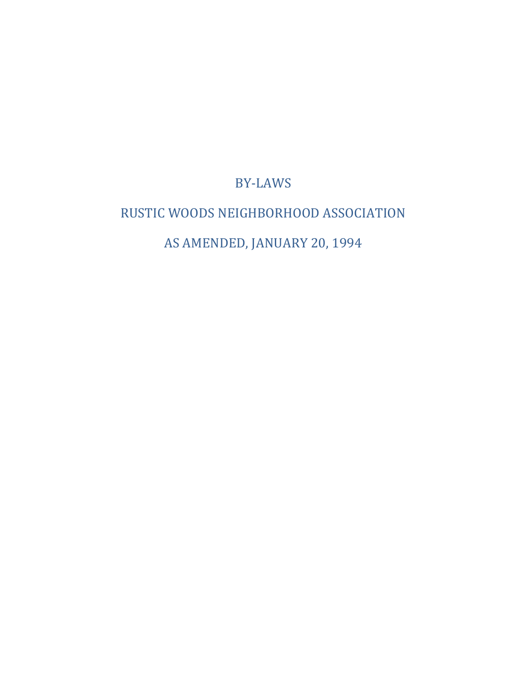# BY-LAWS

# <span id="page-0-2"></span><span id="page-0-1"></span><span id="page-0-0"></span>RUSTIC WOODS NEIGHBORHOOD ASSOCIATION AS AMENDED, JANUARY 20, 1994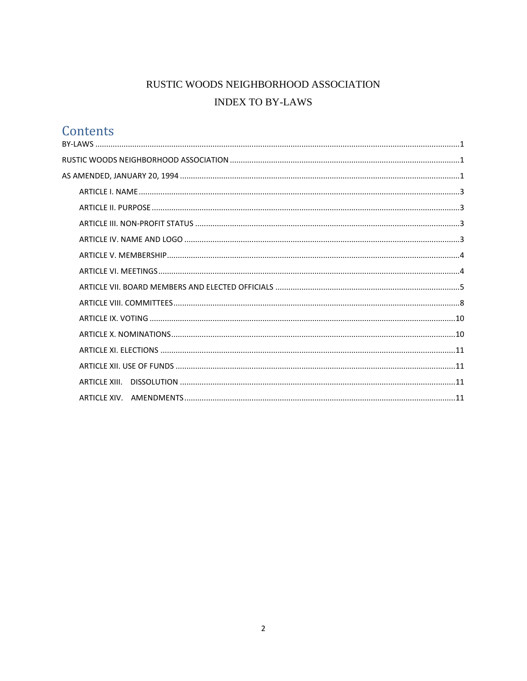# RUSTIC WOODS NEIGHBORHOOD ASSOCIATION **INDEX TO BY-LAWS**

# Contents

|  | ARTICLE XIII. |  |
|--|---------------|--|
|  |               |  |
|  |               |  |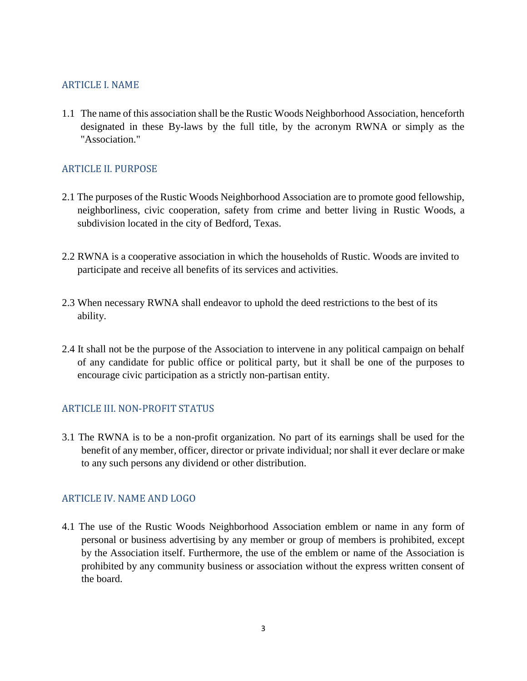## <span id="page-2-0"></span>ARTICLE I. NAME

1.1 The name of this association shall be the Rustic Woods Neighborhood Association, henceforth designated in these By-laws by the full title, by the acronym RWNA or simply as the "Association."

# <span id="page-2-1"></span>ARTICLE II. PURPOSE

- 2.1 The purposes of the Rustic Woods Neighborhood Association are to promote good fellowship, neighborliness, civic cooperation, safety from crime and better living in Rustic Woods, a subdivision located in the city of Bedford, Texas.
- 2.2 RWNA is a cooperative association in which the households of Rustic. Woods are invited to participate and receive all benefits of its services and activities.
- 2.3 When necessary RWNA shall endeavor to uphold the deed restrictions to the best of its ability.
- 2.4 It shall not be the purpose of the Association to intervene in any political campaign on behalf of any candidate for public office or political party, but it shall be one of the purposes to encourage civic participation as a strictly non-partisan entity.

# <span id="page-2-2"></span>ARTICLE III. NON-PROFIT STATUS

3.1 The RWNA is to be a non-profit organization. No part of its earnings shall be used for the benefit of any member, officer, director or private individual; nor shall it ever declare or make to any such persons any dividend or other distribution.

# <span id="page-2-3"></span>ARTICLE IV. NAME AND LOGO

4.1 The use of the Rustic Woods Neighborhood Association emblem or name in any form of personal or business advertising by any member or group of members is prohibited, except by the Association itself. Furthermore, the use of the emblem or name of the Association is prohibited by any community business or association without the express written consent of the board.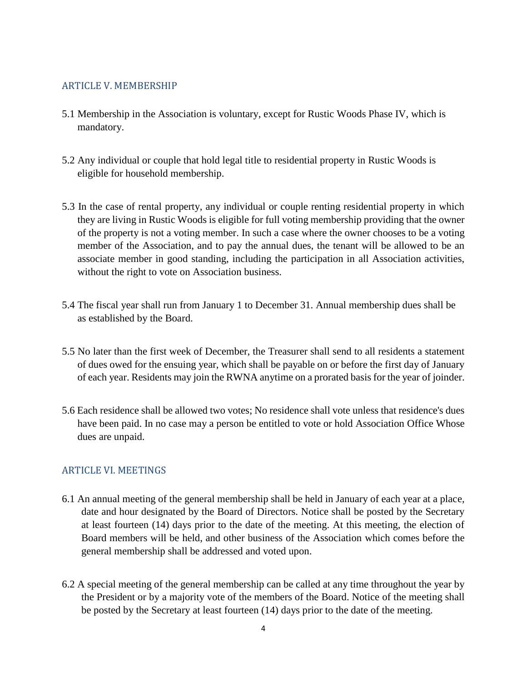## <span id="page-3-0"></span>ARTICLE V. MEMBERSHIP

- 5.1 Membership in the Association is voluntary, except for Rustic Woods Phase IV, which is mandatory.
- 5.2 Any individual or couple that hold legal title to residential property in Rustic Woods is eligible for household membership.
- 5.3 In the case of rental property, any individual or couple renting residential property in which they are living in Rustic Woods is eligible for full voting membership providing that the owner of the property is not a voting member. In such a case where the owner chooses to be a voting member of the Association, and to pay the annual dues, the tenant will be allowed to be an associate member in good standing, including the participation in all Association activities, without the right to vote on Association business.
- 5.4 The fiscal year shall run from January 1 to December 31. Annual membership dues shall be as established by the Board.
- 5.5 No later than the first week of December, the Treasurer shall send to all residents a statement of dues owed for the ensuing year, which shall be payable on or before the first day of January of each year. Residents may join the RWNA anytime on a prorated basis for the year of joinder.
- 5.6 Each residence shall be allowed two votes; No residence shall vote unless that residence's dues have been paid. In no case may a person be entitled to vote or hold Association Office Whose dues are unpaid.

# <span id="page-3-1"></span>ARTICLE VI. MEETINGS

- 6.1 An annual meeting of the general membership shall be held in January of each year at a place, date and hour designated by the Board of Directors. Notice shall be posted by the Secretary at least fourteen (14) days prior to the date of the meeting. At this meeting, the election of Board members will be held, and other business of the Association which comes before the general membership shall be addressed and voted upon.
- 6.2 A special meeting of the general membership can be called at any time throughout the year by the President or by a majority vote of the members of the Board. Notice of the meeting shall be posted by the Secretary at least fourteen (14) days prior to the date of the meeting.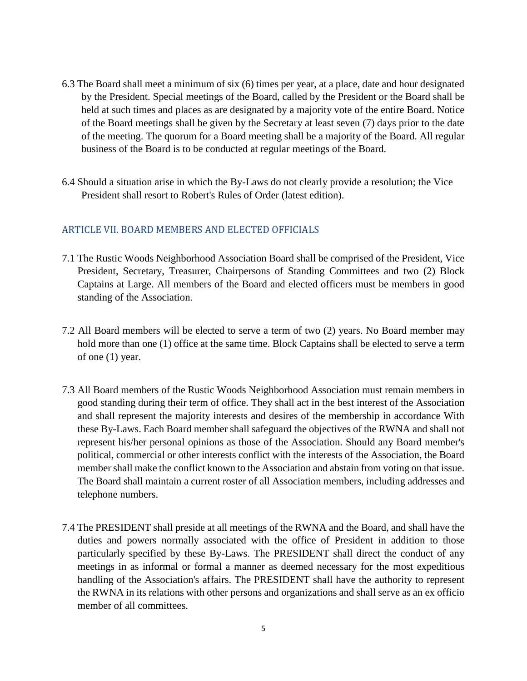- 6.3 The Board shall meet a minimum of six (6) times per year, at a place, date and hour designated by the President. Special meetings of the Board, called by the President or the Board shall be held at such times and places as are designated by a majority vote of the entire Board. Notice of the Board meetings shall be given by the Secretary at least seven (7) days prior to the date of the meeting. The quorum for a Board meeting shall be a majority of the Board. All regular business of the Board is to be conducted at regular meetings of the Board.
- 6.4 Should a situation arise in which the By-Laws do not clearly provide a resolution; the Vice President shall resort to Robert's Rules of Order (latest edition).

# <span id="page-4-0"></span>ARTICLE VII. BOARD MEMBERS AND ELECTED OFFICIALS

- 7.1 The Rustic Woods Neighborhood Association Board shall be comprised of the President, Vice President, Secretary, Treasurer, Chairpersons of Standing Committees and two (2) Block Captains at Large. All members of the Board and elected officers must be members in good standing of the Association.
- 7.2 All Board members will be elected to serve a term of two (2) years. No Board member may hold more than one (1) office at the same time. Block Captains shall be elected to serve a term of one (1) year.
- 7.3 All Board members of the Rustic Woods Neighborhood Association must remain members in good standing during their term of office. They shall act in the best interest of the Association and shall represent the majority interests and desires of the membership in accordance With these By-Laws. Each Board member shall safeguard the objectives of the RWNA and shall not represent his/her personal opinions as those of the Association. Should any Board member's political, commercial or other interests conflict with the interests of the Association, the Board member shall make the conflict known to the Association and abstain from voting on that issue. The Board shall maintain a current roster of all Association members, including addresses and telephone numbers.
- 7.4 The PRESIDENT shall preside at all meetings of the RWNA and the Board, and shall have the duties and powers normally associated with the office of President in addition to those particularly specified by these By-Laws. The PRESIDENT shall direct the conduct of any meetings in as informal or formal a manner as deemed necessary for the most expeditious handling of the Association's affairs. The PRESIDENT shall have the authority to represent the RWNA in its relations with other persons and organizations and shall serve as an ex officio member of all committees.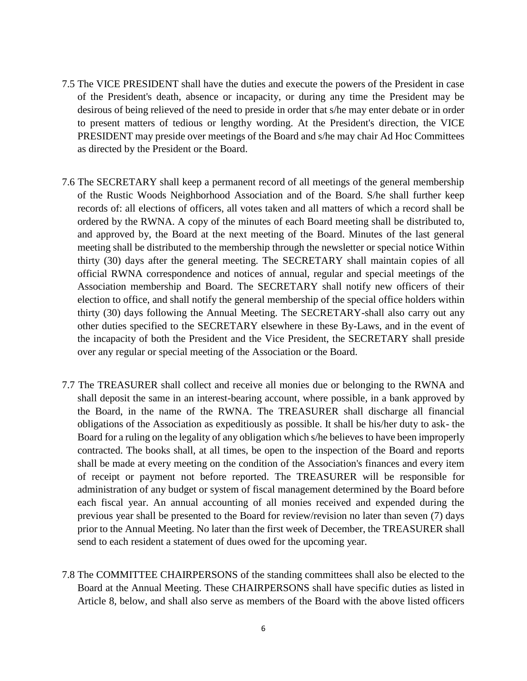- 7.5 The VICE PRESIDENT shall have the duties and execute the powers of the President in case of the President's death, absence or incapacity, or during any time the President may be desirous of being relieved of the need to preside in order that s/he may enter debate or in order to present matters of tedious or lengthy wording. At the President's direction, the VICE PRESIDENT may preside over meetings of the Board and s/he may chair Ad Hoc Committees as directed by the President or the Board.
- 7.6 The SECRETARY shall keep a permanent record of all meetings of the general membership of the Rustic Woods Neighborhood Association and of the Board. S/he shall further keep records of: all elections of officers, all votes taken and all matters of which a record shall be ordered by the RWNA. A copy of the minutes of each Board meeting shall be distributed to, and approved by, the Board at the next meeting of the Board. Minutes of the last general meeting shall be distributed to the membership through the newsletter or special notice Within thirty (30) days after the general meeting. The SECRETARY shall maintain copies of all official RWNA correspondence and notices of annual, regular and special meetings of the Association membership and Board. The SECRETARY shall notify new officers of their election to office, and shall notify the general membership of the special office holders within thirty (30) days following the Annual Meeting. The SECRETARY-shall also carry out any other duties specified to the SECRETARY elsewhere in these By-Laws, and in the event of the incapacity of both the President and the Vice President, the SECRETARY shall preside over any regular or special meeting of the Association or the Board.
- 7.7 The TREASURER shall collect and receive all monies due or belonging to the RWNA and shall deposit the same in an interest-bearing account, where possible, in a bank approved by the Board, in the name of the RWNA. The TREASURER shall discharge all financial obligations of the Association as expeditiously as possible. It shall be his/her duty to ask- the Board for a ruling on the legality of any obligation which s/he believes to have been improperly contracted. The books shall, at all times, be open to the inspection of the Board and reports shall be made at every meeting on the condition of the Association's finances and every item of receipt or payment not before reported. The TREASURER will be responsible for administration of any budget or system of fiscal management determined by the Board before each fiscal year. An annual accounting of all monies received and expended during the previous year shall be presented to the Board for review/revision no later than seven (7) days prior to the Annual Meeting. No later than the first week of December, the TREASURER shall send to each resident a statement of dues owed for the upcoming year.
- 7.8 The COMMITTEE CHAIRPERSONS of the standing committees shall also be elected to the Board at the Annual Meeting. These CHAIRPERSONS shall have specific duties as listed in Article 8, below, and shall also serve as members of the Board with the above listed officers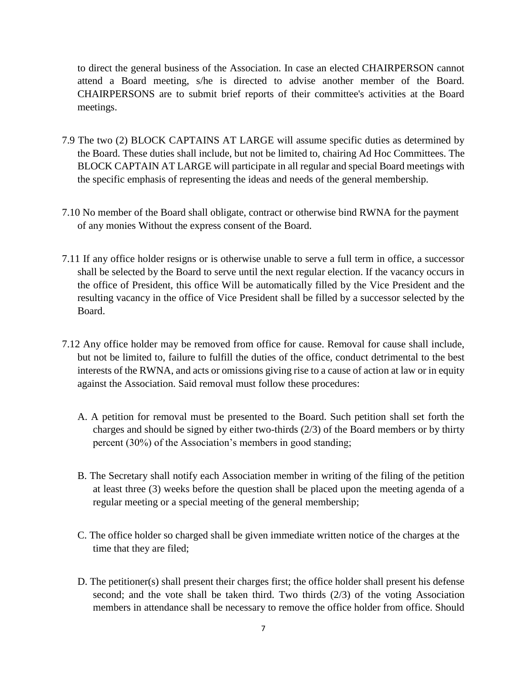to direct the general business of the Association. In case an elected CHAIRPERSON cannot attend a Board meeting, s/he is directed to advise another member of the Board. CHAIRPERSONS are to submit brief reports of their committee's activities at the Board meetings.

- 7.9 The two (2) BLOCK CAPTAINS AT LARGE will assume specific duties as determined by the Board. These duties shall include, but not be limited to, chairing Ad Hoc Committees. The BLOCK CAPTAIN AT LARGE will participate in all regular and special Board meetings with the specific emphasis of representing the ideas and needs of the general membership.
- 7.10 No member of the Board shall obligate, contract or otherwise bind RWNA for the payment of any monies Without the express consent of the Board.
- 7.11 If any office holder resigns or is otherwise unable to serve a full term in office, a successor shall be selected by the Board to serve until the next regular election. If the vacancy occurs in the office of President, this office Will be automatically filled by the Vice President and the resulting vacancy in the office of Vice President shall be filled by a successor selected by the Board.
- 7.12 Any office holder may be removed from office for cause. Removal for cause shall include, but not be limited to, failure to fulfill the duties of the office, conduct detrimental to the best interests of the RWNA, and acts or omissions giving rise to a cause of action at law or in equity against the Association. Said removal must follow these procedures:
	- A. A petition for removal must be presented to the Board. Such petition shall set forth the charges and should be signed by either two-thirds (2/3) of the Board members or by thirty percent (30%) of the Association's members in good standing;
	- B. The Secretary shall notify each Association member in writing of the filing of the petition at least three (3) weeks before the question shall be placed upon the meeting agenda of a regular meeting or a special meeting of the general membership;
	- C. The office holder so charged shall be given immediate written notice of the charges at the time that they are filed;
	- D. The petitioner(s) shall present their charges first; the office holder shall present his defense second; and the vote shall be taken third. Two thirds (2/3) of the voting Association members in attendance shall be necessary to remove the office holder from office. Should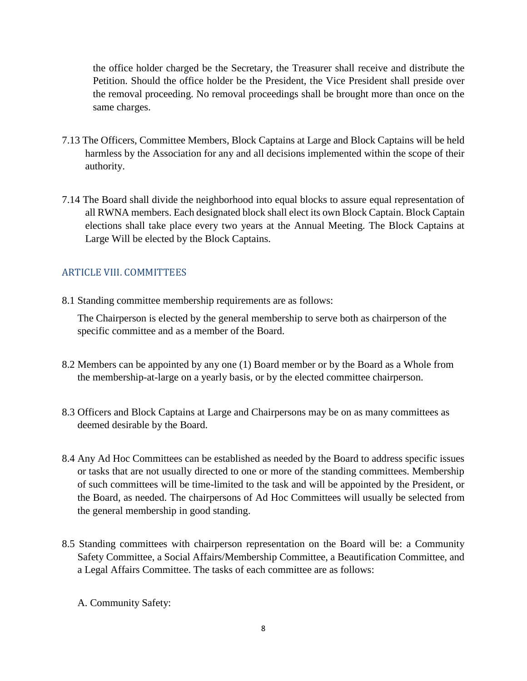the office holder charged be the Secretary, the Treasurer shall receive and distribute the Petition. Should the office holder be the President, the Vice President shall preside over the removal proceeding. No removal proceedings shall be brought more than once on the same charges.

- 7.13 The Officers, Committee Members, Block Captains at Large and Block Captains will be held harmless by the Association for any and all decisions implemented within the scope of their authority.
- 7.14 The Board shall divide the neighborhood into equal blocks to assure equal representation of all RWNA members. Each designated block shall elect its own Block Captain. Block Captain elections shall take place every two years at the Annual Meeting. The Block Captains at Large Will be elected by the Block Captains.

# <span id="page-7-0"></span>ARTICLE VIII. COMMITTEES

8.1 Standing committee membership requirements are as follows:

The Chairperson is elected by the general membership to serve both as chairperson of the specific committee and as a member of the Board.

- 8.2 Members can be appointed by any one (1) Board member or by the Board as a Whole from the membership-at-large on a yearly basis, or by the elected committee chairperson.
- 8.3 Officers and Block Captains at Large and Chairpersons may be on as many committees as deemed desirable by the Board.
- 8.4 Any Ad Hoc Committees can be established as needed by the Board to address specific issues or tasks that are not usually directed to one or more of the standing committees. Membership of such committees will be time-limited to the task and will be appointed by the President, or the Board, as needed. The chairpersons of Ad Hoc Committees will usually be selected from the general membership in good standing.
- 8.5 Standing committees with chairperson representation on the Board will be: a Community Safety Committee, a Social Affairs/Membership Committee, a Beautification Committee, and a Legal Affairs Committee. The tasks of each committee are as follows:
	- A. Community Safety: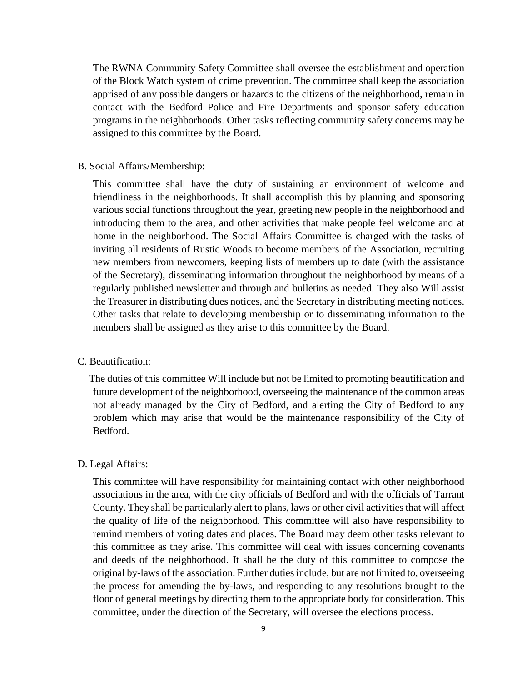The RWNA Community Safety Committee shall oversee the establishment and operation of the Block Watch system of crime prevention. The committee shall keep the association apprised of any possible dangers or hazards to the citizens of the neighborhood, remain in contact with the Bedford Police and Fire Departments and sponsor safety education programs in the neighborhoods. Other tasks reflecting community safety concerns may be assigned to this committee by the Board.

#### B. Social Affairs/Membership:

This committee shall have the duty of sustaining an environment of welcome and friendliness in the neighborhoods. It shall accomplish this by planning and sponsoring various social functions throughout the year, greeting new people in the neighborhood and introducing them to the area, and other activities that make people feel welcome and at home in the neighborhood. The Social Affairs Committee is charged with the tasks of inviting all residents of Rustic Woods to become members of the Association, recruiting new members from newcomers, keeping lists of members up to date (with the assistance of the Secretary), disseminating information throughout the neighborhood by means of a regularly published newsletter and through and bulletins as needed. They also Will assist the Treasurer in distributing dues notices, and the Secretary in distributing meeting notices. Other tasks that relate to developing membership or to disseminating information to the members shall be assigned as they arise to this committee by the Board.

#### C. Beautification:

The duties of this committee Will include but not be limited to promoting beautification and future development of the neighborhood, overseeing the maintenance of the common areas not already managed by the City of Bedford, and alerting the City of Bedford to any problem which may arise that would be the maintenance responsibility of the City of Bedford.

#### D. Legal Affairs:

This committee will have responsibility for maintaining contact with other neighborhood associations in the area, with the city officials of Bedford and with the officials of Tarrant County. They shall be particularly alert to plans, laws or other civil activities that will affect the quality of life of the neighborhood. This committee will also have responsibility to remind members of voting dates and places. The Board may deem other tasks relevant to this committee as they arise. This committee will deal with issues concerning covenants and deeds of the neighborhood. It shall be the duty of this committee to compose the original by-laws of the association. Further duties include, but are not limited to, overseeing the process for amending the by-laws, and responding to any resolutions brought to the floor of general meetings by directing them to the appropriate body for consideration. This committee, under the direction of the Secretary, will oversee the elections process.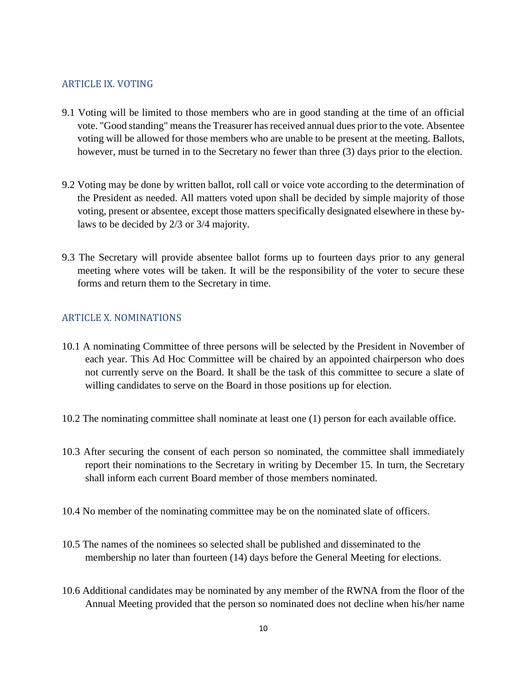#### <span id="page-9-0"></span>ARTICLE IX. VOTING

- 9.1 Voting will be limited to those members who are in good standing at the time of an official vote. "Good standing" means the Treasurer has received annual dues prior to the vote. Absentee voting will be allowed for those members who are unable to be present at the meeting. Ballots, however, must be turned in to the Secretary no fewer than three (3) days prior to the election.
- 9.2 Voting may be done by written ballot, roll call or voice vote according to the determination of the President as needed. All matters voted upon shall be decided by simple majority of those voting, present or absentee, except those matters specifically designated elsewhere in these bylaws to be decided by 2/3 or 3/4 majority.
- 9.3 The Secretary will provide absentee ballot forms up to fourteen days prior to any general meeting where votes will be taken. It will be the responsibility of the voter to secure these forms and return them to the Secretary in time.

## <span id="page-9-1"></span>ARTICLE X. NOMINATIONS

- 10.1 A nominating Committee of three persons will be selected by the President in November of each year. This Ad Hoc Committee will be chaired by an appointed chairperson who does not currently serve on the Board. It shall be the task of this committee to secure a slate of willing candidates to serve on the Board in those positions up for election.
- 10.2 The nominating committee shall nominate at least one (1) person for each available office.
- 10.3 After securing the consent of each person so nominated, the committee shall immediately report their nominations to the Secretary in writing by December 15. In turn, the Secretary shall inform each current Board member of those members nominated.
- 10.4 No member of the nominating committee may be on the nominated slate of officers.
- 10.5 The names of the nominees so selected shall be published and disseminated to the membership no later than fourteen (14) days before the General Meeting for elections.
- 10.6 Additional candidates may be nominated by any member of the RWNA from the floor of the Annual Meeting provided that the person so nominated does not decline when his/her name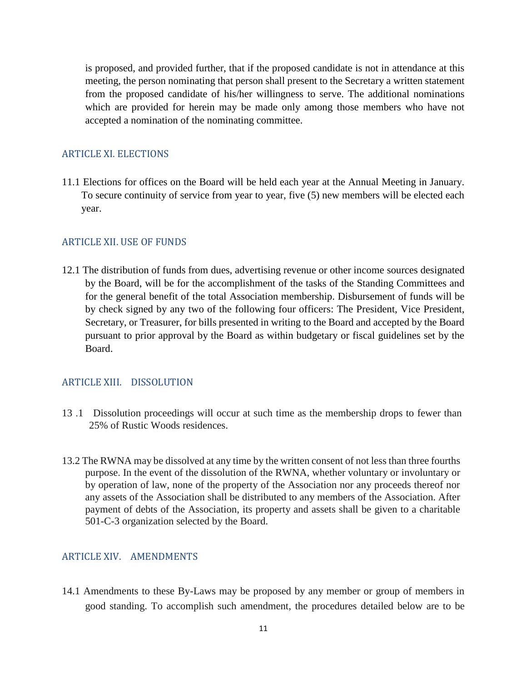is proposed, and provided further, that if the proposed candidate is not in attendance at this meeting, the person nominating that person shall present to the Secretary a written statement from the proposed candidate of his/her willingness to serve. The additional nominations which are provided for herein may be made only among those members who have not accepted a nomination of the nominating committee.

#### <span id="page-10-0"></span>ARTICLE XI. ELECTIONS

11.1 Elections for offices on the Board will be held each year at the Annual Meeting in January. To secure continuity of service from year to year, five (5) new members will be elected each year.

#### <span id="page-10-1"></span>ARTICLE XII. USE OF FUNDS

12.1 The distribution of funds from dues, advertising revenue or other income sources designated by the Board, will be for the accomplishment of the tasks of the Standing Committees and for the general benefit of the total Association membership. Disbursement of funds will be by check signed by any two of the following four officers: The President, Vice President, Secretary, or Treasurer, for bills presented in writing to the Board and accepted by the Board pursuant to prior approval by the Board as within budgetary or fiscal guidelines set by the Board.

#### <span id="page-10-2"></span>ARTICLE XIII. DISSOLUTION

- 13 .1 Dissolution proceedings will occur at such time as the membership drops to fewer than 25% of Rustic Woods residences.
- 13.2 The RWNA may be dissolved at any time by the written consent of not less than three fourths purpose. In the event of the dissolution of the RWNA, whether voluntary or involuntary or by operation of law, none of the property of the Association nor any proceeds thereof nor any assets of the Association shall be distributed to any members of the Association. After payment of debts of the Association, its property and assets shall be given to a charitable 501-C-3 organization selected by the Board.

#### <span id="page-10-3"></span>ARTICLE XIV. AMENDMENTS

14.1 Amendments to these By-Laws may be proposed by any member or group of members in good standing. To accomplish such amendment, the procedures detailed below are to be